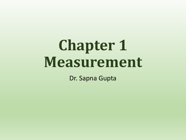# **Chapter 1 Measurement**

Dr. Sapna Gupta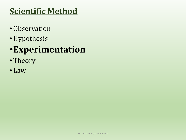## **Scientific Method**

- •Observation
- •Hypothesis

## •**Experimentation**

- •Theory
- Law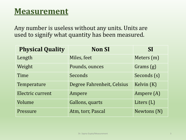#### **Measurement**

Any number is useless without any units. Units are used to signify what quantity has been measured.

| <b>Physical Quality</b> | <b>Non SI</b>              | SI          |
|-------------------------|----------------------------|-------------|
| Length                  | Miles, feet                | Meters (m)  |
| Weight                  | Pounds, ounces             | Grams (g)   |
| Time                    | Seconds                    | Seconds (s) |
| Temperature             | Degree Fahrenheit, Celsius | Kelvin (K)  |
| Electric current        | Ampere                     | Ampere (A)  |
| Volume                  | Gallons, quarts            | Liters (L)  |
| Pressure                | Atm, torr, Pascal          | Newtons (N) |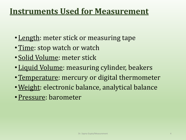#### **Instruments Used for Measurement**

- Length: meter stick or measuring tape
- Time: stop watch or watch
- Solid Volume: meter stick
- Liquid Volume: measuring cylinder, beakers
- Temperature: mercury or digital thermometer
- •Weight: electronic balance, analytical balance
- •Pressure: barometer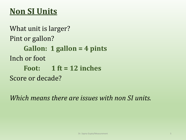## **Non SI Units**

What unit is larger? Pint or gallon? **Gallon: 1 gallon = 4 pints** Inch or foot **Foot: 1 ft = 12 inches** Score or decade?

*Which means there are issues with non SI units.*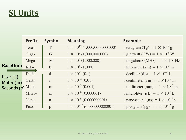## **SI Units**

|                                                           | <b>Prefix</b> | Symbol       | <b>Meaning</b>                         | <b>Example</b>                                    |
|-----------------------------------------------------------|---------------|--------------|----------------------------------------|---------------------------------------------------|
| <b>BaseUnit:</b><br>Liter (L)<br>Meter (m)<br>Seconds (s) | Tera-         | T            | $1 \times 10^{12}$ (1,000,000,000,000) | 1 teragram (Tg) = $1 \times 10^{12}$ g            |
|                                                           | Giga-         | G            | $1 \times 10^{9}$ (1,000,000,000)      | 1 gigawatt (GW) = $1 \times 10^9$ W               |
|                                                           | Mega-         | M            | $1 \times 10^6$ (1,000,000)            | 1 megahertz (MHz) = $1 \times 10^6$ Hz            |
|                                                           | Kilo-         | $\mathbf{k}$ | $1 \times 10^3$ (1,000)                | 1 kilometer (km) = $1 \times 10^3$ m              |
|                                                           | Deci-         | d            | $1 \times 10^{-1}$ (0.1)               | 1 deciliter (dL) = $1 \times 10^{-1}$ L           |
|                                                           | Centi-        | $\mathbf{C}$ | $1 \times 10^{-2} (0.01)$              | 1 centimeter (cm) = $1 \times 10^{-2}$ m          |
|                                                           | Milli-        | m            | $1 \times 10^{-3}$ (0.001)             | 1 millimeter (mm) = $1 \times 10^{-3}$ m          |
|                                                           | Micro-        | $\mu$        | $1 \times 10^{-6} (0.000001)$          | 1 microliter ( $\mu L$ ) = 1 × 10 <sup>-6</sup> L |
|                                                           | Nano-         | $\mathbf n$  | $1 \times 10^{-9}$ (0.000000001)       | 1 nanosecond (ns) = $1 \times 10^{-9}$ s          |
|                                                           | Pico-         | p            | $1 \times 10^{-12} (0.000000000001)$   | 1 picogram (pg) = $1 \times 10^{-12}$ g           |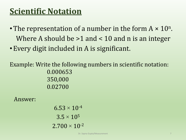### **Scientific Notation**

- The representation of a number in the form  $A \times 10^n$ . Where A should be >1 and < 10 and n is an integer
- •Every digit included in A is significant.

Example: Write the following numbers in scientific notation: 0.000653 350,000 0.02700

Answer:

 $6.53 \times 10^{-4}$  $3.5 \times 10^5$  $2.700 \times 10^{-2}$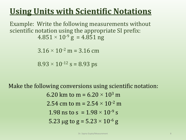## **Using Units with Scientific Notations**

Example: Write the following measurements without scientific notation using the appropriate SI prefix:  $4.851 \times 10^{-9}$  g = 4.851 ng

 $3.16 \times 10^{-2}$  m = 3.16 cm

 $8.93 \times 10^{-12}$  s = 8.93 ps

Make the following conversions using scientific notation: 6.20 km to m =  $6.20 \times 10^3$  m 2.54 cm to m =  $2.54 \times 10^{-2}$  m 1.98 ns to s =  $1.98 \times 10^{-9}$  s 5.23 µg to g =  $5.23 \times 10^{-6}$  g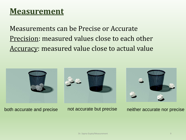#### **Measurement**

Measurements can be Precise or Accurate Precision: measured values close to each other Accuracy: measured value close to actual value



both accurate and precise not accurate but precise neither accurate nor precise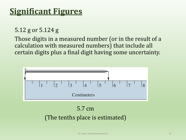#### **Significant Figures**

5.12 g or 5.124 g

Those digits in a measured number (or in the result of a calculation with measured numbers) that include all certain digits plus a final digit having some uncertainty.



5.7 cm

(The tenths place is estimated)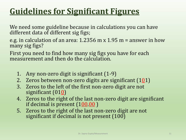## **Guidelines for Significant Figures**

We need some guideline because in calculations you can have different data of different sig figs;

e.g. in calculation of an area: 1.2356 m x 1.95 m = answer in how many sig figs?

First you need to find how many sig figs you have for each measurement and then do the calculation.

- 1. Any non-zero digit is significant (1-9)
- 2. Zeros between non-zero digits are significant  $(101)$
- 3. Zeros to the left of the first non-zero digit are not significant  $(010)$
- 4. Zeros to the right of the last non-zero digit are significant if decimal is present (100.00 )
- 5. Zeros to the right of the last non-zero digit are not significant if decimal is not present (100)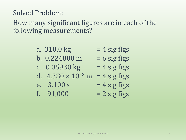#### c.  $0.05930 \text{ kg}$  = 4 sig figs

- d.  $4.380 \times 10^{-8}$  m = 4 sig figs
- e.  $3.100 s = 4 sig figs$

following measurements?

Solved Problem:

- 
- f.  $91,000 = 2$  sig figs
- b.  $0.224800 \text{ m} = 6 \text{ sig figs}$
- a.  $310.0 \text{ kg}$  = 4 sig figs

How many significant figures are in each of the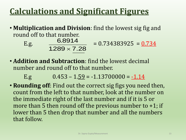## **Calculations and Significant Figures**

• **Multiplication and Division**: find the lowest sig fig and round off to that number.

E.g.  $0.0914 = 0.734383925 = 0.734$ 6 8914 *.* $1.289 \times 7.28$ 

• **Addition and Subtraction**: find the lowest decimal number and round off to that number.

E.g  $0.453 - 1.59 = -1.13700000 = -1.14$ 

• **Rounding off**: Find out the correct sig figs you need then, count from the left to that number, look at the number on the immediate right of the last number and if it is 5 or more than 5 then round off the previous number to  $+1$ ; if lower than 5 then drop that number and all the numbers that follow. **1.289** × **7.28**<br> **1.289** × **7.28**<br> **1.59 1.59** = -1.13700000 = <u>-1.14</u><br> **1.59 1.59** = -1.13700000 = <u>-1.14</u><br> **1.59 1.59 1.13700000 = <u>-1.14</u>**<br> **1.59 1.59 1.13700000 = <u>-1.14</u>**<br> **1.59 1.59 1.13700000 = <u>-1**</u>